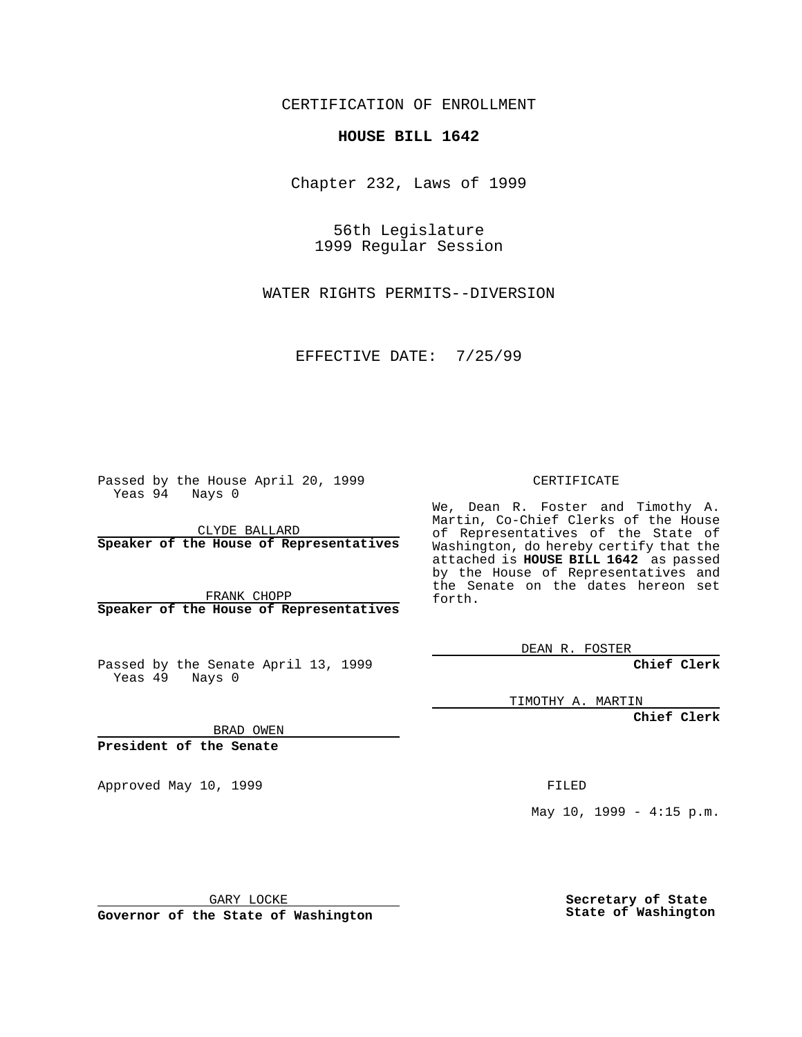CERTIFICATION OF ENROLLMENT

## **HOUSE BILL 1642**

Chapter 232, Laws of 1999

56th Legislature 1999 Regular Session

WATER RIGHTS PERMITS--DIVERSION

EFFECTIVE DATE: 7/25/99

Passed by the House April 20, 1999 Yeas 94 Nays 0

CLYDE BALLARD **Speaker of the House of Representatives**

FRANK CHOPP **Speaker of the House of Representatives**

Passed by the Senate April 13, 1999 Yeas 49 Nays 0

CERTIFICATE

We, Dean R. Foster and Timothy A. Martin, Co-Chief Clerks of the House of Representatives of the State of Washington, do hereby certify that the attached is **HOUSE BILL 1642** as passed by the House of Representatives and the Senate on the dates hereon set forth.

DEAN R. FOSTER

**Chief Clerk**

TIMOTHY A. MARTIN

**Chief Clerk**

BRAD OWEN

**President of the Senate**

Approved May 10, 1999 **FILED** 

May  $10$ ,  $1999 - 4:15$  p.m.

GARY LOCKE

**Governor of the State of Washington**

**Secretary of State State of Washington**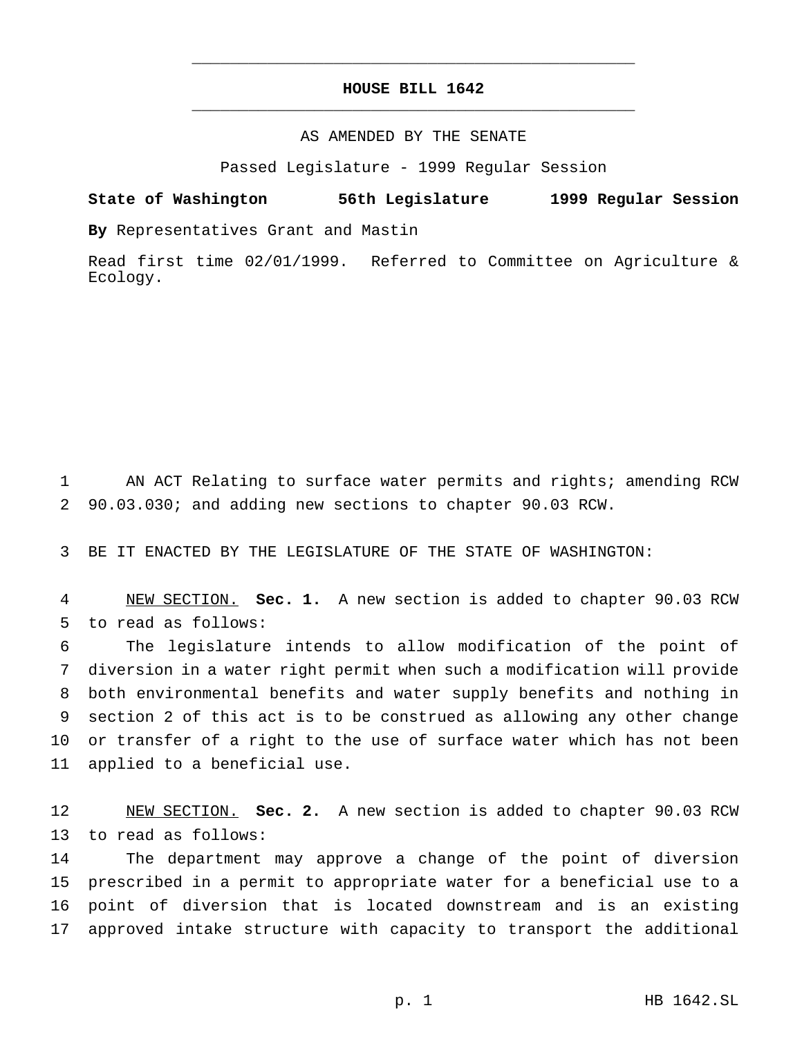## **HOUSE BILL 1642** \_\_\_\_\_\_\_\_\_\_\_\_\_\_\_\_\_\_\_\_\_\_\_\_\_\_\_\_\_\_\_\_\_\_\_\_\_\_\_\_\_\_\_\_\_\_\_

\_\_\_\_\_\_\_\_\_\_\_\_\_\_\_\_\_\_\_\_\_\_\_\_\_\_\_\_\_\_\_\_\_\_\_\_\_\_\_\_\_\_\_\_\_\_\_

## AS AMENDED BY THE SENATE

Passed Legislature - 1999 Regular Session

## **State of Washington 56th Legislature 1999 Regular Session**

**By** Representatives Grant and Mastin

Read first time 02/01/1999. Referred to Committee on Agriculture & Ecology.

 AN ACT Relating to surface water permits and rights; amending RCW 90.03.030; and adding new sections to chapter 90.03 RCW.

BE IT ENACTED BY THE LEGISLATURE OF THE STATE OF WASHINGTON:

 NEW SECTION. **Sec. 1.** A new section is added to chapter 90.03 RCW to read as follows:

 The legislature intends to allow modification of the point of diversion in a water right permit when such a modification will provide both environmental benefits and water supply benefits and nothing in section 2 of this act is to be construed as allowing any other change or transfer of a right to the use of surface water which has not been applied to a beneficial use.

 NEW SECTION. **Sec. 2.** A new section is added to chapter 90.03 RCW to read as follows:

 The department may approve a change of the point of diversion prescribed in a permit to appropriate water for a beneficial use to a point of diversion that is located downstream and is an existing approved intake structure with capacity to transport the additional